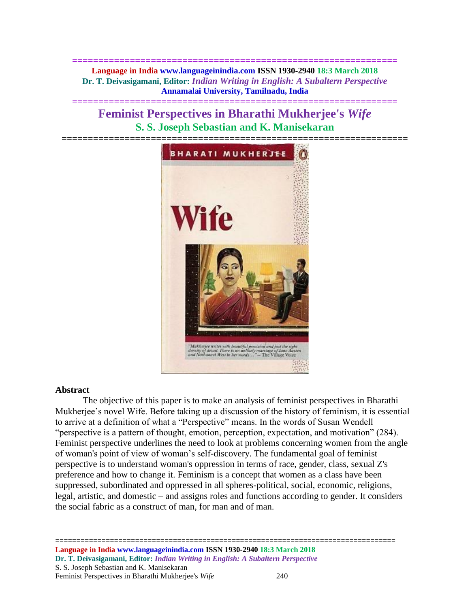**============================================================== Language in India www.languageinindia.com ISSN 1930-2940 18:3 March 2018 Dr. T. Deivasigamani, Editor:** *Indian Writing in English: A Subaltern Perspective* **Annamalai University, Tamilnadu, India**

**==============================================================**

**Feminist Perspectives in Bharathi Mukherjee's** *Wife* **S. S. Joseph Sebastian and K. Manisekaran**



### **Abstract**

The objective of this paper is to make an analysis of feminist perspectives in Bharathi Mukherjee's novel Wife. Before taking up a discussion of the history of feminism, it is essential to arrive at a definition of what a "Perspective" means. In the words of Susan Wendell "perspective is a pattern of thought, emotion, perception, expectation, and motivation" (284). Feminist perspective underlines the need to look at problems concerning women from the angle of woman's point of view of woman's self-discovery. The fundamental goal of feminist perspective is to understand woman's oppression in terms of race, gender, class, sexual Z's preference and how to change it. Feminism is a concept that women as a class have been suppressed, subordinated and oppressed in all spheres-political, social, economic, religions, legal, artistic, and domestic – and assigns roles and functions according to gender. It considers the social fabric as a construct of man, for man and of man.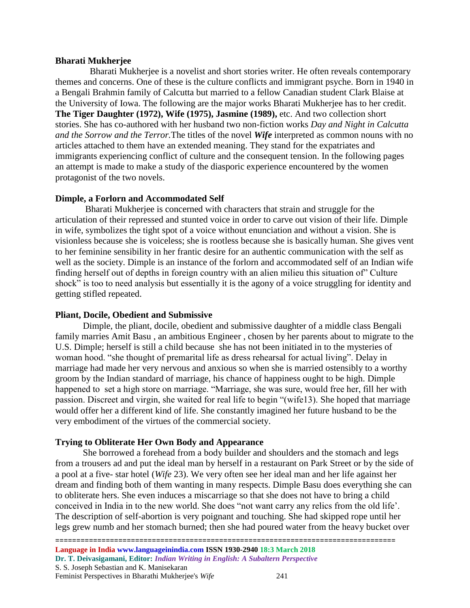## **Bharati Mukherjee**

 Bharati Mukherjee is a novelist and short stories writer. He often reveals contemporary themes and concerns. One of these is the culture conflicts and immigrant psyche. Born in 1940 in a Bengali Brahmin family of Calcutta but married to a fellow Canadian student Clark Blaise at the University of Iowa. The following are the major works Bharati Mukherjee has to her credit. **The Tiger Daughter (1972), Wife (1975), Jasmine (1989),** etc. And two collection short stories. She has co-authored with her husband two non-fiction works *Day and Night in Calcutta and the Sorrow and the Terror.*The titles of the novel *Wife* interpreted as common nouns with no articles attached to them have an extended meaning. They stand for the expatriates and immigrants experiencing conflict of culture and the consequent tension. In the following pages an attempt is made to make a study of the diasporic experience encountered by the women protagonist of the two novels.

# **Dimple, a Forlorn and Accommodated Self**

 Bharati Mukherjee is concerned with characters that strain and struggle for the articulation of their repressed and stunted voice in order to carve out vision of their life. Dimple in wife, symbolizes the tight spot of a voice without enunciation and without a vision. She is visionless because she is voiceless; she is rootless because she is basically human. She gives vent to her feminine sensibility in her frantic desire for an authentic communication with the self as well as the society. Dimple is an instance of the forlorn and accommodated self of an Indian wife finding herself out of depths in foreign country with an alien milieu this situation of" Culture shock" is too to need analysis but essentially it is the agony of a voice struggling for identity and getting stifled repeated.

# **Pliant, Docile, Obedient and Submissive**

Dimple, the pliant, docile, obedient and submissive daughter of a middle class Bengali family marries Amit Basu , an ambitious Engineer , chosen by her parents about to migrate to the U.S. Dimple; herself is still a child because she has not been initiated in to the mysteries of woman hood. "she thought of premarital life as dress rehearsal for actual living". Delay in marriage had made her very nervous and anxious so when she is married ostensibly to a worthy groom by the Indian standard of marriage, his chance of happiness ought to be high. Dimple happened to set a high store on marriage. "Marriage, she was sure, would free her, fill her with passion. Discreet and virgin, she waited for real life to begin "(wife13). She hoped that marriage would offer her a different kind of life. She constantly imagined her future husband to be the very embodiment of the virtues of the commercial society.

# **Trying to Obliterate Her Own Body and Appearance**

She borrowed a forehead from a body builder and shoulders and the stomach and legs from a trousers ad and put the ideal man by herself in a restaurant on Park Street or by the side of a pool at a five- star hotel (*Wife* 23). We very often see her ideal man and her life against her dream and finding both of them wanting in many respects. Dimple Basu does everything she can to obliterate hers. She even induces a miscarriage so that she does not have to bring a child conceived in India in to the new world. She does "not want carry any relics from the old life'. The description of self-abortion is very poignant and touching. She had skipped rope until her legs grew numb and her stomach burned; then she had poured water from the heavy bucket over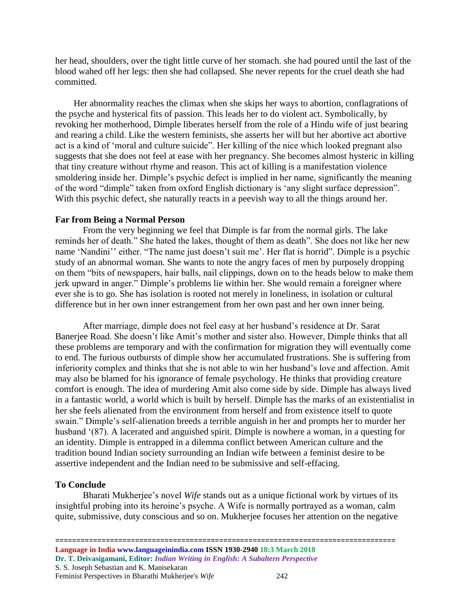her head, shoulders, over the tight little curve of her stomach. she had poured until the last of the blood wahed off her legs: then she had collapsed. She never repents for the cruel death she had committed.

 Her abnormality reaches the climax when she skips her ways to abortion, conflagrations of the psyche and hysterical fits of passion. This leads her to do violent act. Symbolically, by revoking her motherhood, Dimple liberates herself from the role of a Hindu wife of just bearing and rearing a child. Like the western feminists, she asserts her will but her abortive act abortive act is a kind of 'moral and culture suicide". Her killing of the nice which looked pregnant also suggests that she does not feel at ease with her pregnancy. She becomes almost hysteric in killing that tiny creature without rhyme and reason. This act of killing is a manifestation violence smoldering inside her. Dimple's psychic defect is implied in her name, significantly the meaning of the word "dimple" taken from oxford English dictionary is 'any slight surface depression". With this psychic defect, she naturally reacts in a peevish way to all the things around her.

#### **Far from Being a Normal Person**

From the very beginning we feel that Dimple is far from the normal girls. The lake reminds her of death." She hated the lakes, thought of them as death". She does not like her new name 'Nandini'' either. "The name just doesn't suit me'. Her flat is horrid". Dimple is a psychic study of an abnormal woman. She wants to note the angry faces of men by purposely dropping on them "bits of newspapers, hair balls, nail clippings, down on to the heads below to make them jerk upward in anger." Dimple's problems lie within her. She would remain a foreigner where ever she is to go. She has isolation is rooted not merely in loneliness, in isolation or cultural difference but in her own inner estrangement from her own past and her own inner being.

After marriage, dimple does not feel easy at her husband's residence at Dr. Sarat Banerjee Road. She doesn't like Amit's mother and sister also. However, Dimple thinks that all these problems are temporary and with the confirmation for migration they will eventually come to end. The furious outbursts of dimple show her accumulated frustrations. She is suffering from inferiority complex and thinks that she is not able to win her husband's love and affection. Amit may also be blamed for his ignorance of female psychology. He thinks that providing creature comfort is enough. The idea of murdering Amit also come side by side. Dimple has always lived in a fantastic world, a world which is built by herself. Dimple has the marks of an existentialist in her she feels alienated from the environment from herself and from existence itself to quote swain." Dimple's self-alienation breeds a terrible anguish in her and prompts her to murder her husband '(87). A lacerated and anguished spirit. Dimple is nowhere a woman, in a questing for an identity. Dimple is entrapped in a dilemma conflict between American culture and the tradition bound Indian society surrounding an Indian wife between a feminist desire to be assertive independent and the Indian need to be submissive and self-effacing.

#### **To Conclude**

Bharati Mukherjee's novel *Wife* stands out as a unique fictional work by virtues of its insightful probing into its heroine's psyche. A Wife is normally portrayed as a woman, calm quite, submissive, duty conscious and so on. Mukherjee focuses her attention on the negative